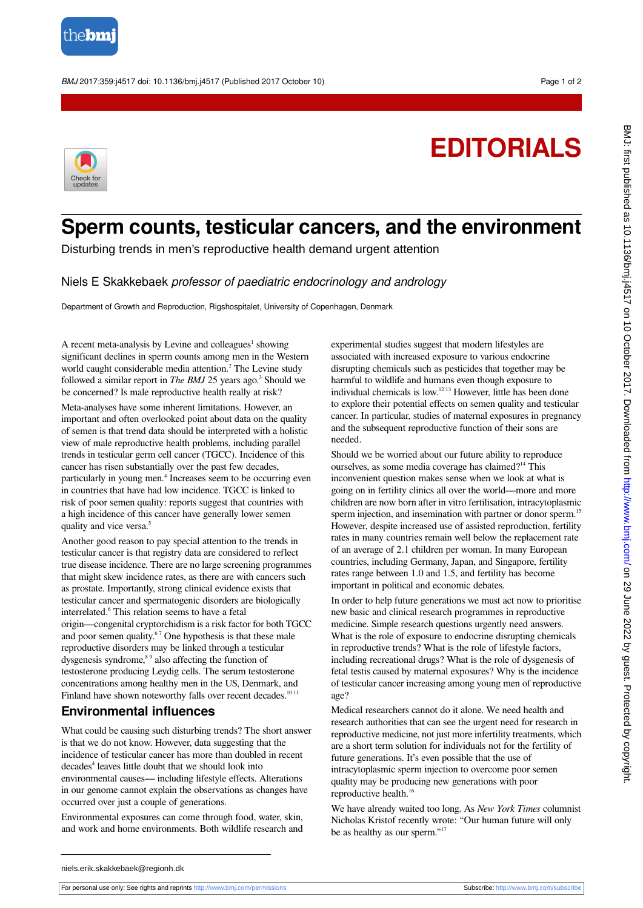

BMJ 2017;359:j4517 doi: 10.1136/bmj.j4517 (Published 2017 October 10) Page 1 of 2

## **EDITORIALS**



## **Sperm counts, testicular cancers, and the environment**

Disturbing trends in men's reproductive health demand urgent attention

Niels E Skakkebaek professor of paediatric endocrinology and andrology

Department of Growth and Reproduction, Rigshospitalet, University of Copenhagen, Denmark

A recent meta-analysis by Levine and colleagues<sup>1</sup> showing significant declines in sperm counts among men in the Western world caught considerable media attention.<sup>2</sup> The Levine study followed a similar report in *The BMJ* 25 years ago.<sup>3</sup> Should we be concerned? Is male reproductive health really at risk?

Meta-analyses have some inherent limitations. However, an important and often overlooked point about data on the quality of semen is that trend data should be interpreted with a holistic view of male reproductive health problems, including parallel trends in testicular germ cell cancer (TGCC). Incidence of this cancer has risen substantially over the past few decades, particularly in young men.<sup>4</sup> Increases seem to be occurring even in countries that have had low incidence. TGCC is linked to risk of poor semen quality: reports suggest that countries with a high incidence of this cancer have generally lower semen quality and vice versa.<sup>5</sup>

Another good reason to pay special attention to the trends in testicular cancer is that registry data are considered to reflect true disease incidence. There are no large screening programmes that might skew incidence rates, as there are with cancers such as prostate. Importantly, strong clinical evidence exists that testicular cancer and spermatogenic disorders are biologically interrelated.<sup>6</sup> This relation seems to have a fetal origin—congenital cryptorchidism is a risk factor for both TGCC and poor semen quality.<sup>67</sup> One hypothesis is that these male reproductive disorders may be linked through a testicular dysgenesis syndrome,<sup>89</sup> also affecting the function of testosterone producing Leydig cells. The serum testosterone concentrations among healthy men in the US, Denmark, and Finland have shown noteworthy falls over recent decades.<sup>1011</sup>

## **Environmental influences**

What could be causing such disturbing trends? The short answer is that we do not know. However, data suggesting that the incidence of testicular cancer has more than doubled in recent decades<sup>4</sup> leaves little doubt that we should look into environmental causes— including lifestyle effects. Alterations in our genome cannot explain the observations as changes have occurred over just a couple of generations.

Environmental exposures can come through food, water, skin, and work and home environments. Both wildlife research and

experimental studies suggest that modern lifestyles are associated with increased exposure to various endocrine disrupting chemicals such as pesticides that together may be harmful to wildlife and humans even though exposure to individual chemicals is low.12 13 However, little has been done to explore their potential effects on semen quality and testicular cancer. In particular, studies of maternal exposures in pregnancy and the subsequent reproductive function of their sons are needed.

Should we be worried about our future ability to reproduce ourselves, as some media coverage has claimed?<sup>14</sup> This inconvenient question makes sense when we look at what is going on in fertility clinics all over the world—more and more children are now born after in vitro fertilisation, intracytoplasmic sperm injection, and insemination with partner or donor sperm.<sup>15</sup> However, despite increased use of assisted reproduction, fertility rates in many countries remain well below the replacement rate of an average of 2.1 children per woman. In many European countries, including Germany, Japan, and Singapore, fertility rates range between 1.0 and 1.5, and fertility has become important in political and economic debates.

In order to help future generations we must act now to prioritise new basic and clinical research programmes in reproductive medicine. Simple research questions urgently need answers. What is the role of exposure to endocrine disrupting chemicals in reproductive trends? What is the role of lifestyle factors, including recreational drugs? What is the role of dysgenesis of fetal testis caused by maternal exposures? Why is the incidence of testicular cancer increasing among young men of reproductive age?

Medical researchers cannot do it alone. We need health and research authorities that can see the urgent need for research in reproductive medicine, not just more infertility treatments, which are a short term solution for individuals not for the fertility of future generations. It's even possible that the use of intracytoplasmic sperm injection to overcome poor semen quality may be producing new generations with poor reproductive health.<sup>16</sup>

We have already waited too long. As *New York Times* columnist Nicholas Kristof recently wrote: "Our human future will only be as healthy as our sperm."<sup>17</sup>